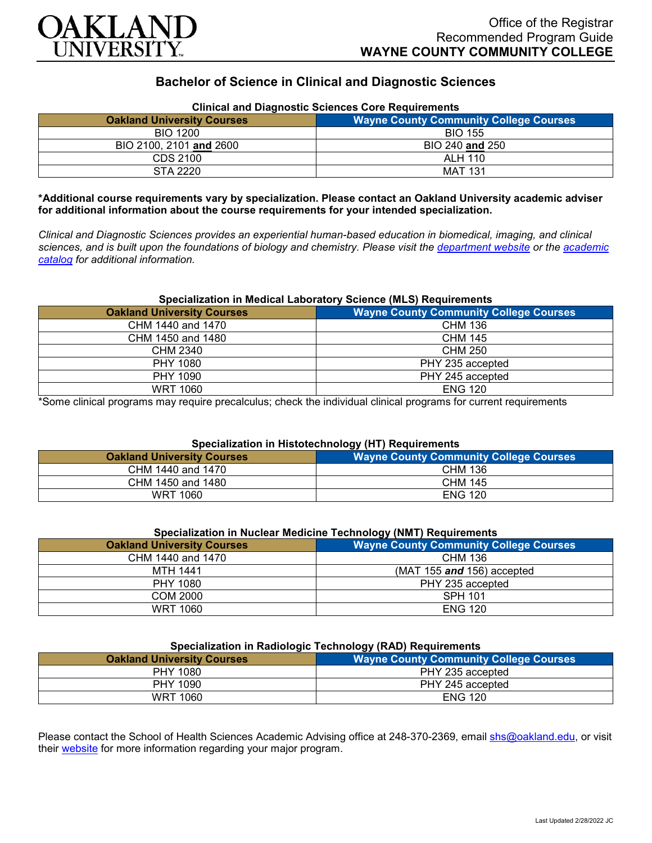

# **Bachelor of Science in Clinical and Diagnostic Sciences**

| Clinical and Diagnostic Sciences Core Requirements |                                               |
|----------------------------------------------------|-----------------------------------------------|
| <b>Oakland University Courses</b>                  | <b>Wayne County Community College Courses</b> |
| <b>BIO 1200</b>                                    | <b>BIO 155</b>                                |
| BIO 2100, 2101 and 2600                            | BIO 240 and 250                               |
| CDS 2100                                           | ALH 110                                       |
| STA 2220                                           | <b>MAT 131</b>                                |

# **Clinical and Diagnostic Sciences Core Requirements**

**\*Additional course requirements vary by specialization. Please contact an Oakland University academic adviser for additional information about the course requirements for your intended specialization.**

*Clinical and Diagnostic Sciences provides an experiential human-based education in biomedical, imaging, and clinical sciences, and is built upon the foundations of biology and chemistry. Please visit the [department website](https://www.oakland.edu/shs/clinical-and-diagnostic-sciences/) or the [academic](http://catalog.oakland.edu/preview_program.php?catoid=53&poid=8663)  [catalog](http://catalog.oakland.edu/preview_program.php?catoid=53&poid=8663) for additional information.*

#### **Specialization in Medical Laboratory Science (MLS) Requirements**

| <b>Oakland University Courses</b> | <b>Wayne County Community College Courses</b> |
|-----------------------------------|-----------------------------------------------|
| CHM 1440 and 1470                 | CHM 136                                       |
| CHM 1450 and 1480                 | <b>CHM 145</b>                                |
| CHM 2340                          | CHM 250                                       |
| <b>PHY 1080</b>                   | PHY 235 accepted                              |
| PHY 1090                          | PHY 245 accepted                              |
| <b>WRT 1060</b>                   | <b>ENG 120</b>                                |

\*Some clinical programs may require precalculus; check the individual clinical programs for current requirements

### **Specialization in Histotechnology (HT) Requirements**

| <b>Oakland University Courses</b> | <b>Wayne County Community College Courses</b> |
|-----------------------------------|-----------------------------------------------|
| CHM 1440 and 1470                 | <b>CHM 136</b>                                |
| CHM 1450 and 1480                 | <b>CHM 145</b>                                |
| WRT 1060                          | <b>ENG 120</b>                                |

## **Specialization in Nuclear Medicine Technology (NMT) Requirements**

| <b>Oakland University Courses</b> | .<br><b>Wayne County Community College Courses</b> |
|-----------------------------------|----------------------------------------------------|
| CHM 1440 and 1470                 | CHM 136                                            |
| <b>MTH 1441</b>                   | (MAT 155 $and$ 156) accepted                       |
| PHY 1080                          | PHY 235 accepted                                   |
| COM 2000                          | <b>SPH 101</b>                                     |
| <b>WRT 1060</b>                   | <b>ENG 120</b>                                     |

### **Specialization in Radiologic Technology (RAD) Requirements**

| <b>Wayne County Community College Courses</b> |  |
|-----------------------------------------------|--|
| PHY 235 accepted                              |  |
| PHY 245 accepted                              |  |
| <b>ENG 120</b>                                |  |
|                                               |  |

Please contact the School of Health Sciences Academic Advising office at 248-370-2369, email [shs@oakland.edu,](mailto:shs@oakland.edu) or visit their [website](http://www.oakland.edu/shs/advising) for more information regarding your major program.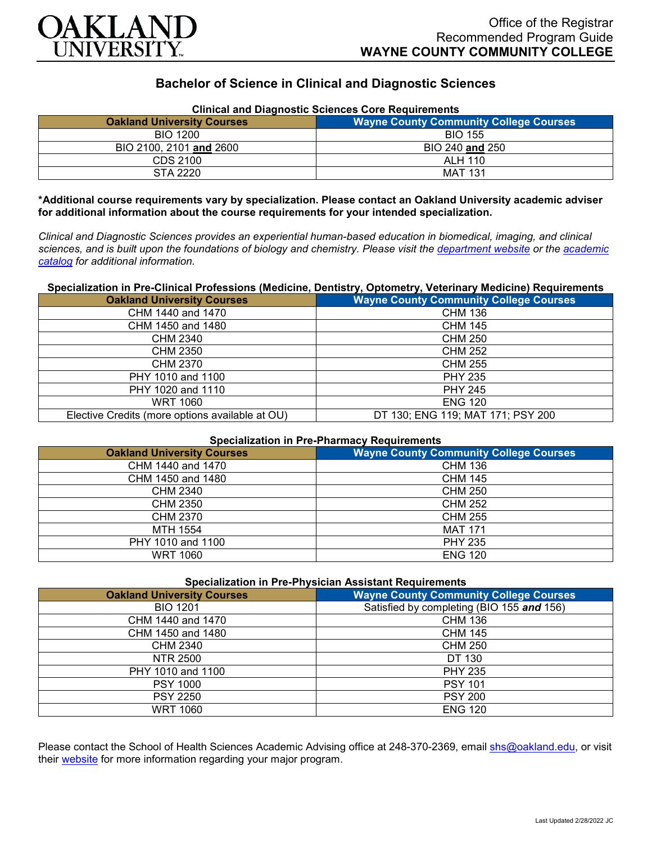

# **Bachelor of Science in Clinical and Diagnostic Sciences**

| <b>Clinical and Diagnostic Sciences Core Requirements</b> |                                               |  |
|-----------------------------------------------------------|-----------------------------------------------|--|
| <b>Oakland University Courses</b>                         | <b>Wayne County Community College Courses</b> |  |
| <b>BIO 1200</b>                                           | <b>BIO 155</b>                                |  |
| BIO 2100, 2101 and 2600                                   | BIO 240 and 250                               |  |
| CDS 2100                                                  | <b>ALH 110</b>                                |  |
| STA 2220                                                  | <b>MAT 131</b>                                |  |

**\*Additional course requirements vary by specialization. Please contact an Oakland University academic adviser for additional information about the course requirements for your intended specialization.**

*Clinical and Diagnostic Sciences provides an experiential human-based education in biomedical, imaging, and clinical sciences, and is built upon the foundations of biology and chemistry. Please visit the [department website](https://www.oakland.edu/shs/clinical-and-diagnostic-sciences/) or the [academic](http://catalog.oakland.edu/preview_program.php?catoid=53&poid=8663)  [catalog](http://catalog.oakland.edu/preview_program.php?catoid=53&poid=8663) for additional information.*

### **Specialization in Pre-Clinical Professions (Medicine, Dentistry, Optometry, Veterinary Medicine) Requirements**

| <b>Oakland University Courses</b>               | <b>Wayne County Community College Courses</b> |
|-------------------------------------------------|-----------------------------------------------|
| CHM 1440 and 1470                               | <b>CHM 136</b>                                |
| CHM 1450 and 1480                               | <b>CHM 145</b>                                |
| CHM 2340                                        | CHM 250                                       |
| <b>CHM 2350</b>                                 | <b>CHM 252</b>                                |
| CHM 2370                                        | <b>CHM 255</b>                                |
| PHY 1010 and 1100                               | <b>PHY 235</b>                                |
| PHY 1020 and 1110                               | <b>PHY 245</b>                                |
| <b>WRT 1060</b>                                 | <b>ENG 120</b>                                |
| Elective Credits (more options available at OU) | DT 130; ENG 119; MAT 171; PSY 200             |

### **Specialization in Pre-Pharmacy Requirements**

| <b>Oakland University Courses</b> | <b>Wayne County Community College Courses</b> |
|-----------------------------------|-----------------------------------------------|
| CHM 1440 and 1470                 | <b>CHM 136</b>                                |
| CHM 1450 and 1480                 | <b>CHM 145</b>                                |
| CHM 2340                          | <b>CHM 250</b>                                |
| <b>CHM 2350</b>                   | <b>CHM 252</b>                                |
| <b>CHM 2370</b>                   | <b>CHM 255</b>                                |
| MTH 1554                          | <b>MAT 171</b>                                |
| PHY 1010 and 1100                 | <b>PHY 235</b>                                |
| <b>WRT 1060</b>                   | <b>ENG 120</b>                                |

| <b>Specialization in Pre-Physician Assistant Requirements</b> |                                               |
|---------------------------------------------------------------|-----------------------------------------------|
| <b>Oakland University Courses</b>                             | <b>Wayne County Community College Courses</b> |
| <b>BIO 1201</b>                                               | Satisfied by completing (BIO 155 and 156)     |
| CHM 1440 and 1470                                             | <b>CHM 136</b>                                |
| CHM 1450 and 1480                                             | <b>CHM 145</b>                                |
| CHM 2340                                                      | <b>CHM 250</b>                                |
| NTR 2500                                                      | DT 130                                        |
| PHY 1010 and 1100                                             | <b>PHY 235</b>                                |
| <b>PSY 1000</b>                                               | <b>PSY 101</b>                                |
| <b>PSY 2250</b>                                               | <b>PSY 200</b>                                |
| WRT 1060                                                      | <b>ENG 120</b>                                |

Please contact the School of Health Sciences Academic Advising office at 248-370-2369, email [shs@oakland.edu,](mailto:shs@oakland.edu) or visit their [website](http://www.oakland.edu/shs/advising) for more information regarding your major program.